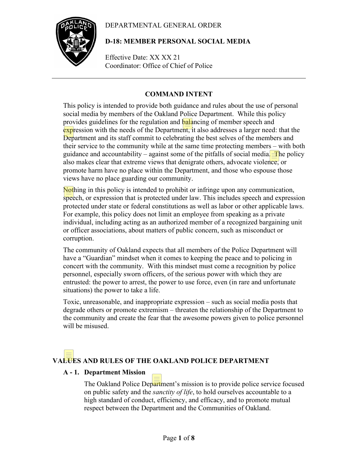# DEPARTMENTAL GENERAL ORDER



# **D-18: MEMBER PERSONAL SOCIAL MEDIA**

Effective Date: XX XX 21 Coordinator: Office of Chief of Police

# **COMMAND INTENT**

This policy is intended to provide both guidance and rules about the use of personal social media by members of the Oakland Police Department. While this policy provides guidelines for the regulation and **balancing** of member speech and expression with the needs of the Department, it also addresses a larger need: that the Department and its staff commit to celebrating the best selves of the members and their service to the community while at the same time protecting members – with both guidance and accountability – against some of the pitfalls of social media. The policy also makes clear that extreme views that denigrate others, advocate violence, or promote harm have no place within the Department, and those who espouse those views have no place guarding our community.

Nothing in this policy is intended to prohibit or infringe upon any communication, speech, or expression that is protected under law. This includes speech and expression protected under state or federal constitutions as well as labor or other applicable laws. For example, this policy does not limit an employee from speaking as a private individual, including acting as an authorized member of a recognized bargaining unit or officer associations, about matters of public concern, such as misconduct or corruption.

The community of Oakland expects that all members of the Police Department will have a "Guardian" mindset when it comes to keeping the peace and to policing in concert with the community. With this mindset must come a recognition by police personnel, especially sworn officers, of the serious power with which they are entrusted: the power to arrest, the power to use force, even (in rare and unfortunate situations) the power to take a life.

Toxic, unreasonable, and inappropriate expression – such as social media posts that degrade others or promote extremism – threaten the relationship of the Department to the community and create the fear that the awesome powers given to police personnel will be misused.

# **VALUES AND RULES OF THE OAKLAND POLICE DEPARTMENT**

# **A - 1. Department Mission**

The Oakland Police Department's mission is to provide police service focused on public safety and the *sanctity of life*, to hold ourselves accountable to a high standard of conduct, efficiency, and efficacy, and to promote mutual respect between the Department and the Communities of Oakland.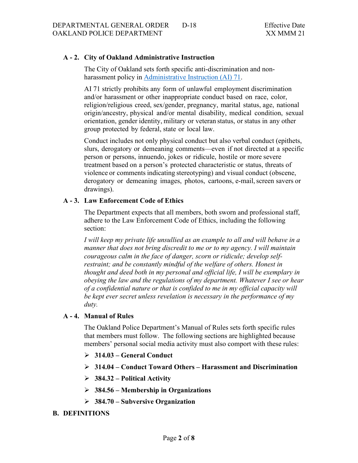## **A - 2. City of Oakland Administrative Instruction**

The City of Oakland sets forth specific anti-discrimination and nonharassment policy in [Administrative Instruction](https://public.powerdms.com/OAKLAND/documents/579540) (AI) 71.

AI 71 strictly prohibits any form of unlawful employment discrimination and/or harassment or other inappropriate conduct based on race, color, religion/religious creed, sex/gender, pregnancy, marital status, age, national origin/ancestry, physical and/or mental disability, medical condition, sexual orientation, gender identity, military or veteran status, or status in any other group protected by federal, state or local law.

Conduct includes not only physical conduct but also verbal conduct (epithets, slurs, derogatory or demeaning comments—even if not directed at a specific person or persons, innuendo, jokes or ridicule, hostile or more severe treatment based on a person's protected characteristic or status, threats of violence or comments indicating stereotyping) and visual conduct (obscene, derogatory or demeaning images, photos, cartoons, e-mail, screen savers or drawings).

## **A - 3. Law Enforcement Code of Ethics**

The Department expects that all members, both sworn and professional staff, adhere to the Law Enforcement Code of Ethics, including the following section:

*I* will keep my private life unsullied as an example to all and will behave in a *manner that does not bring discredit to me or to my agency. I will maintain courageous calm in the face of danger, scorn or ridicule; develop selfrestraint; and be constantly mindful of the welfare of others. Honest in thought and deed both in my personal and official life, I will be exemplary in obeying the law and the regulations of my department. Whatever I see or hear of a confidential nature or that is confided to me in my official capacity will be kept ever secret unless revelation is necessary in the performance of my duty.*

## **A - 4. Manual of Rules**

The Oakland Police Department's Manual of Rules sets forth specific rules that members must follow. The following sections are highlighted because members' personal social media activity must also comport with these rules:

- **314.03 – General Conduct**
- **314.04 – Conduct Toward Others – Harassment and Discrimination**
- **384.32 – Political Activity**
- **384.56 – Membership in Organizations**
- **384.70 – Subversive Organization**

## **B. DEFINITIONS**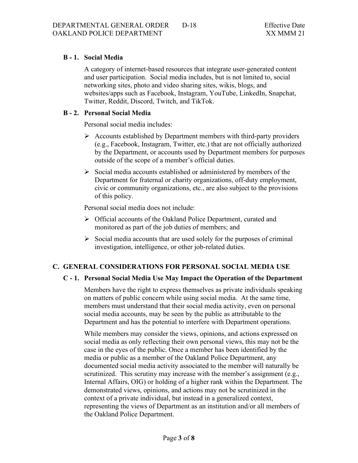# **B - 1. Social Media**

A category of internet-based resources that integrate user-generated content and user participation. Social media includes, but is not limited to, social networking sites, photo and video sharing sites, wikis, blogs, and websites/apps such as Facebook, Instagram, YouTube, LinkedIn, Snapchat, Twitter, Reddit, Discord, Twitch, and TikTok.

## **B - 2. Personal Social Media**

Personal social media includes:

- $\triangleright$  Accounts established by Department members with third-party providers (e.g., Facebook, Instagram, Twitter, etc.) that are not officially authorized by the Department, or accounts used by Department members for purposes outside of the scope of a member's official duties.
- $\triangleright$  Social media accounts established or administered by members of the Department for fraternal or charity organizations, off-duty employment, civic or community organizations, etc., are also subject to the provisions of this policy.

Personal social media does not include:

- Official accounts of the Oakland Police Department, curated and monitored as part of the job duties of members; and
- $\triangleright$  Social media accounts that are used solely for the purposes of criminal investigation, intelligence, or other job-related duties.

## **C. GENERAL CONSIDERATIONS FOR PERSONAL SOCIAL MEDIA USE**

## **C - 1. Personal Social Media Use May Impact the Operation of the Department**

Members have the right to express themselves as private individuals speaking on matters of public concern while using social media. At the same time, members must understand that their social media activity, even on personal social media accounts, may be seen by the public as attributable to the Department and has the potential to interfere with Department operations.

While members may consider the views, opinions, and actions expressed on social media as only reflecting their own personal views, this may not be the case in the eyes of the public. Once a member has been identified by the media or public as a member of the Oakland Police Department, any documented social media activity associated to the member will naturally be scrutinized. This scrutiny may increase with the member's assignment (e.g., Internal Affairs, OIG) or holding of a higher rank within the Department. The demonstrated views, opinions, and actions may not be scrutinized in the context of a private individual, but instead in a generalized context, representing the views of Department as an institution and/or all members of the Oakland Police Department.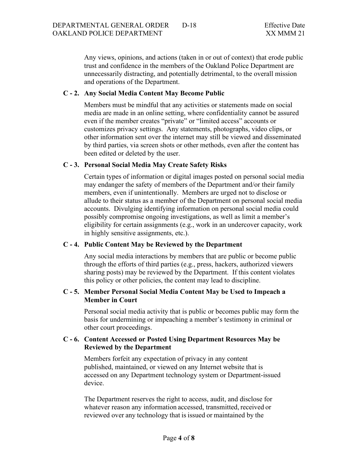Any views, opinions, and actions (taken in or out of context) that erode public trust and confidence in the members of the Oakland Police Department are unnecessarily distracting, and potentially detrimental, to the overall mission and operations of the Department.

## **C - 2. Any Social Media Content May Become Public**

Members must be mindful that any activities or statements made on social media are made in an online setting, where confidentiality cannot be assured even if the member creates "private" or "limited access" accounts or customizes privacy settings. Any statements, photographs, video clips, or other information sent over the internet may still be viewed and disseminated by third parties, via screen shots or other methods, even after the content has been edited or deleted by the user.

## **C - 3. Personal Social Media May Create Safety Risks**

Certain types of information or digital images posted on personal social media may endanger the safety of members of the Department and/or their family members, even if unintentionally. Members are urged not to disclose or allude to their status as a member of the Department on personal social media accounts. Divulging identifying information on personal social media could possibly compromise ongoing investigations, as well as limit a member's eligibility for certain assignments (e.g., work in an undercover capacity, work in highly sensitive assignments, etc.).

## **C - 4. Public Content May be Reviewed by the Department**

Any social media interactions by members that are public or become public through the efforts of third parties (e.g., press, hackers, authorized viewers sharing posts) may be reviewed by the Department. If this content violates this policy or other policies, the content may lead to discipline.

## **C - 5. Member Personal Social Media Content May be Used to Impeach a Member in Court**

Personal social media activity that is public or becomes public may form the basis for undermining or impeaching a member's testimony in criminal or other court proceedings.

## **C - 6. Content Accessed or Posted Using Department Resources May be Reviewed by the Department**

Members forfeit any expectation of privacy in any content published, maintained, or viewed on any Internet website that is accessed on any Department technology system or Department-issued device.

The Department reserves the right to access, audit, and disclose for whatever reason any information accessed, transmitted, received or reviewed over any technology that is issued or maintained by the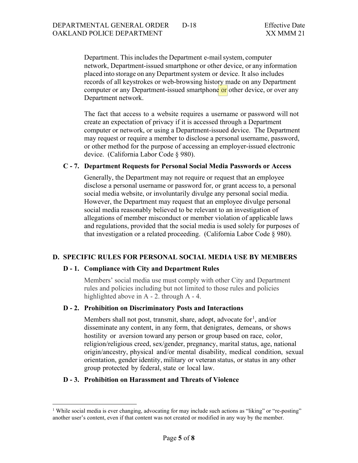Department. This includes the Department e-mail system, computer network, Department-issued smartphone or other device, or any information placed into storage on any Department system or device. It also includes records of all keystrokes or web-browsing history made on any Department computer or any Department-issued smartphone or other device, or over any Department network.

The fact that access to a website requires a username or password will not create an expectation of privacy if it is accessed through a Department computer or network, or using a Department-issued device. The Department may request or require a member to disclose a personal username, password, or other method for the purpose of accessing an employer-issued electronic device. (California Labor Code § 980).

## **C - 7. Department Requests for Personal Social Media Passwords or Access**

Generally, the Department may not require or request that an employee disclose a personal username or password for, or grant access to, a personal social media website, or involuntarily divulge any personal social media. However, the Department may request that an employee divulge personal social media reasonably believed to be relevant to an investigation of allegations of member misconduct or member violation of applicable laws and regulations, provided that the social media is used solely for purposes of that investigation or a related proceeding. (California Labor Code § 980).

## **D. SPECIFIC RULES FOR PERSONAL SOCIAL MEDIA USE BY MEMBERS**

#### **D - 1. Compliance with City and Department Rules**

Members' social media use must comply with other City and Department rules and policies including but not limited to those rules and policies highlighted above in A - 2. through A - 4.

#### **D - 2. Prohibition on Discriminatory Posts and Interactions**

Members shall not post, transmit, share, adopt, advocate for<sup>[1](#page-4-0)</sup>, and/or disseminate any content, in any form, that denigrates, demeans, or shows hostility or aversion toward any person or group based on race, color, religion/religious creed, sex/gender, pregnancy, marital status, age, national origin/ancestry, physical and/or mental disability, medical condition, sexual orientation, gender identity, military or veteran status, or status in any other group protected by federal, state or local law.

#### **D - 3. Prohibition on Harassment and Threats of Violence**

<span id="page-4-0"></span><sup>&</sup>lt;sup>1</sup> While social media is ever changing, advocating for may include such actions as "liking" or "re-posting" another user's content, even if that content was not created or modified in any way by the member.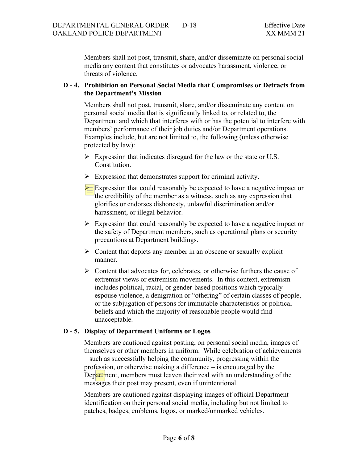Members shall not post, transmit, share, and/or disseminate on personal social media any content that constitutes or advocates harassment, violence, or threats of violence.

## **D - 4. Prohibition on Personal Social Media that Compromises or Detracts from the Department's Mission**

Members shall not post, transmit, share, and/or disseminate any content on personal social media that is significantly linked to, or related to, the Department and which that interferes with or has the potential to interfere with members' performance of their job duties and/or Department operations. Examples include, but are not limited to, the following (unless otherwise protected by law):

- $\triangleright$  Expression that indicates disregard for the law or the state or U.S. Constitution.
- $\triangleright$  Expression that demonstrates support for criminal activity.
- $\geq$  Expression that could reasonably be expected to have a negative impact on the credibility of the member as a witness, such as any expression that glorifies or endorses dishonesty, unlawful discrimination and/or harassment, or illegal behavior.
- $\triangleright$  Expression that could reasonably be expected to have a negative impact on the safety of Department members, such as operational plans or security precautions at Department buildings.
- $\triangleright$  Content that depicts any member in an obscene or sexually explicit manner.
- $\triangleright$  Content that advocates for, celebrates, or otherwise furthers the cause of extremist views or extremism movements. In this context, extremism includes political, racial, or gender-based positions which typically espouse violence, a denigration or "othering" of certain classes of people, or the subjugation of persons for immutable characteristics or political beliefs and which the majority of reasonable people would find unacceptable.

# **D - 5. Display of Department Uniforms or Logos**

Members are cautioned against posting, on personal social media, images of themselves or other members in uniform. While celebration of achievements – such as successfully helping the community, progressing within the profession, or otherwise making a difference – is encouraged by the Department, members must leaven their zeal with an understanding of the messages their post may present, even if unintentional.

Members are cautioned against displaying images of official Department identification on their personal social media, including but not limited to patches, badges, emblems, logos, or marked/unmarked vehicles.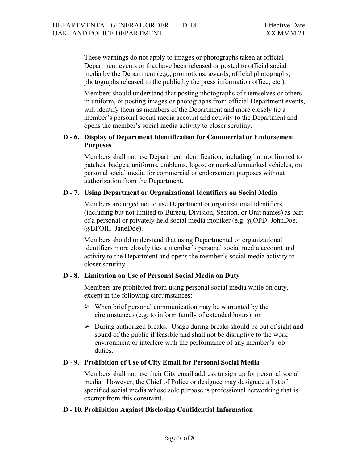These warnings do not apply to images or photographs taken at official Department events or that have been released or posted to official social media by the Department (e.g., promotions, awards, official photographs, photographs released to the public by the press information office, etc.).

Members should understand that posting photographs of themselves or others in uniform, or posting images or photographs from official Department events, will identify them as members of the Department and more closely tie a member's personal social media account and activity to the Department and opens the member's social media activity to closer scrutiny.

## **D - 6. Display of Department Identification for Commercial or Endorsement Purposes**

Members shall not use Department identification, including but not limited to patches, badges, uniforms, emblems, logos, or marked/unmarked vehicles, on personal social media for commercial or endorsement purposes without authorization from the Department.

## **D - 7. Using Department or Organizational Identifiers on Social Media**

Members are urged not to use Department or organizational identifiers (including but not limited to Bureau, Division, Section, or Unit names) as part of a personal or privately held social media moniker (e.g. @OPD\_JohnDoe, @BFOIII\_JaneDoe).

Members should understand that using Departmental or organizational identifiers more closely ties a member's personal social media account and activity to the Department and opens the member's social media activity to closer scrutiny.

# **D - 8. Limitation on Use of Personal Social Media on Duty**

Members are prohibited from using personal social media while on duty, except in the following circumstances:

- $\triangleright$  When brief personal communication may be warranted by the circumstances (e.g. to inform family of extended hours); or
- $\triangleright$  During authorized breaks. Usage during breaks should be out of sight and sound of the public if feasible and shall not be disruptive to the work environment or interfere with the performance of any member's job duties.

# **D - 9. Prohibition of Use of City Email for Personal Social Media**

Members shall not use their City email address to sign up for personal social media. However, the Chief of Police or designee may designate a list of specified social media whose sole purpose is professional networking that is exempt from this constraint.

# **D - 10. Prohibition Against Disclosing Confidential Information**